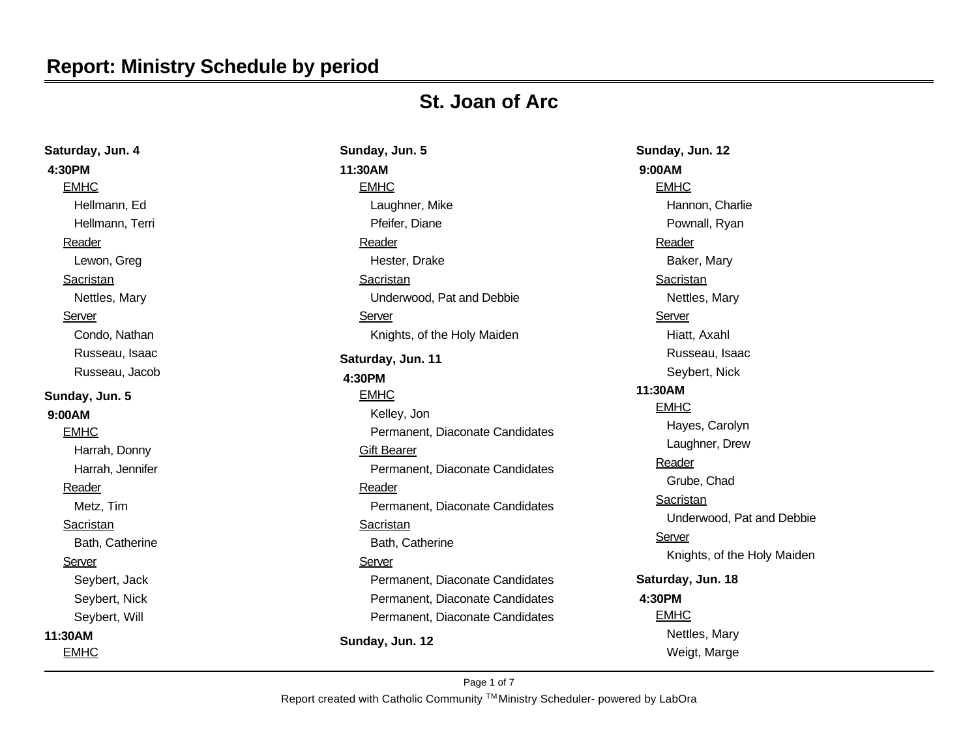### **Report: Ministry Schedule by period**

## **St. Joan of Arc**

| Saturday, Jun. 4 | Sunday, Jun. 5                  |  |
|------------------|---------------------------------|--|
| 4:30PM           | 11:30AM                         |  |
| <b>EMHC</b>      | <b>EMHC</b>                     |  |
| Hellmann, Ed     | Laughner, Mike                  |  |
| Hellmann, Terri  | Pfeifer, Diane                  |  |
| Reader           | Reader                          |  |
| Lewon, Greg      | Hester, Drake                   |  |
| <b>Sacristan</b> | Sacristan                       |  |
| Nettles, Mary    | Underwood, Pat and Debbie       |  |
| Server           | Server                          |  |
| Condo, Nathan    | Knights, of the Holy Maiden     |  |
| Russeau, Isaac   | Saturday, Jun. 11               |  |
| Russeau, Jacob   | 4:30PM                          |  |
| Sunday, Jun. 5   | <b>EMHC</b>                     |  |
| 9:00AM           | Kelley, Jon                     |  |
| <b>EMHC</b>      | Permanent, Diaconate Candidates |  |
| Harrah, Donny    | <b>Gift Bearer</b>              |  |
| Harrah, Jennifer | Permanent, Diaconate Candidates |  |
| Reader           | Reader                          |  |
| Metz, Tim        | Permanent, Diaconate Candidates |  |
| Sacristan        | Sacristan                       |  |
| Bath, Catherine  | Bath, Catherine                 |  |
| Server           | Server                          |  |
| Seybert, Jack    | Permanent, Diaconate Candidates |  |
| Seybert, Nick    | Permanent, Diaconate Candidates |  |
| Seybert, Will    | Permanent, Diaconate Candidates |  |
| 11:30AM          | Sunday, Jun. 12                 |  |
| <b>EMHC</b>      |                                 |  |
|                  |                                 |  |

**Sunday, Jun. 12 9:00AM EMHC** Hannon, Charlie Pownall, Ryan Reader Baker, Mary **Sacristan** Nettles, Mary **Server** Hiatt, Axahl Russeau, Isaac Seybert, Nick **11:30AM** EMHC Hayes, Carolyn Laughner, Drew Reader Grube, Chad **Sacristan** Underwood, Pat and Debbie **Server** Knights, of the Holy Maiden **Saturday, Jun. 18 4:30PM EMHC** Nettles, Mary Weigt, Marge

Report created with Catholic Community ™Ministry Scheduler- powered by LabOra Page 1 of 7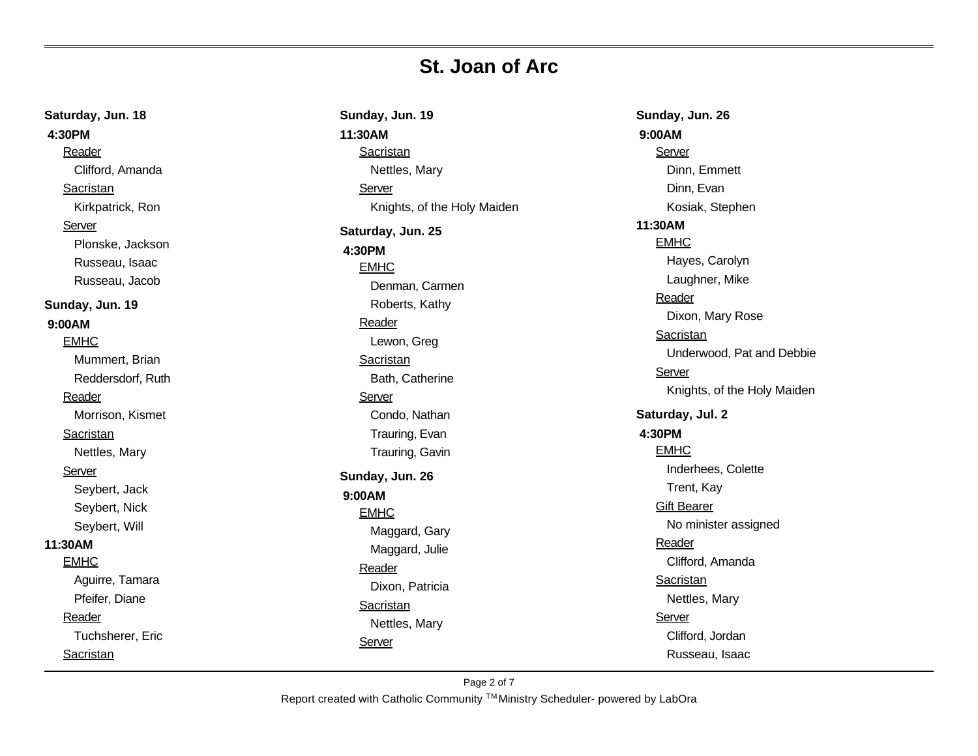**Saturday, Jun. 18 4:30PM** Reader Clifford, Amanda **Sacristan** Kirkpatrick, Ron Server Plonske, Jackson Russeau, Isaac Russeau, Jacob **Sunday, Jun. 19 9:00AM** EMHC Mummert, Brian Reddersdorf, Ruth Reader Morrison, Kismet Sacristan Nettles, Mary **Server** Seybert, Jack Seybert, Nick Seybert, Will **11:30AM** EMHC Aguirre, Tamara Pfeifer, Diane Reader Tuchsherer, Eric Sacristan

**Sunday, Jun. 19 11:30AM** Sacristan Nettles, Mary Server Knights, of the Holy Maiden **Saturday, Jun. 25 4:30PM** EMHC Denman, Carmen Roberts, Kathy Reader Lewon, Greg **Sacristan** Bath, Catherine Server Condo, Nathan Trauring, Evan Trauring, Gavin **Sunday, Jun. 26 9:00AM** EMHC Maggard, Gary Maggard, Julie Reader Dixon, Patricia **Sacristan** Nettles, Mary Server

**Sunday, Jun. 26 9:00AM** Server Dinn, Emmett Dinn, Evan Kosiak, Stephen **11:30AM** EMHC Hayes, Carolyn Laughner, Mike Reader Dixon, Mary Rose Sacristan Underwood, Pat and Debbie Server Knights, of the Holy Maiden **Saturday, Jul. 2 4:30PM** EMHC Inderhees, Colette Trent, Kay Gift Bearer No minister assigned Reader Clifford, Amanda Sacristan Nettles, Mary Server Clifford, Jordan Russeau, Isaac

Report created with Catholic Community ™Ministry Scheduler- powered by LabOra Page 2 of 7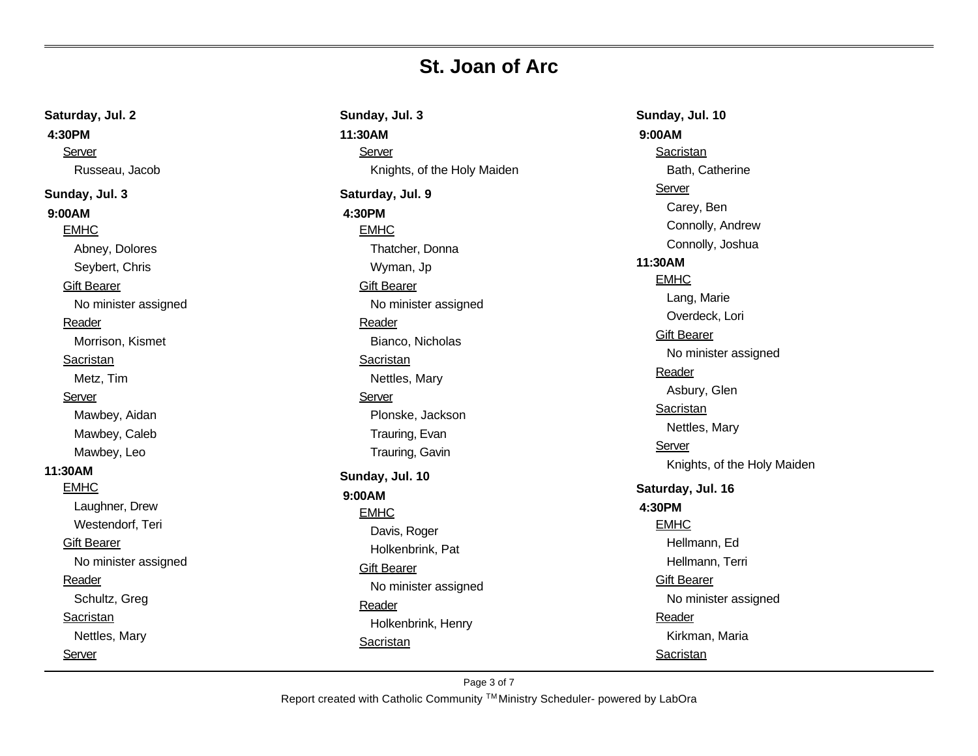**Saturday, Jul. 2 4:30PM** Server Russeau, Jacob **Sunday, Jul. 3 9:00AM** EMHC Abney, Dolores Seybert, Chris Gift Bearer No minister assigned Reader Morrison, Kismet Sacristan Metz, Tim Server Mawbey, Aidan Mawbey, Caleb Mawbey, Leo **11:30AM** EMHC Laughner, Drew Westendorf, Teri Gift Bearer No minister assigned Reader Schultz, Greg Sacristan Nettles, Mary Server

**Sunday, Jul. 3 11:30AM Server** Knights, of the Holy Maiden **Saturday, Jul. 9 4:30PM** EMHC Thatcher, Donna Wyman, Jp Gift Bearer No minister assigned Reader Bianco, Nicholas **Sacristan** Nettles, Mary Server Plonske, Jackson Trauring, Evan Trauring, Gavin **Sunday, Jul. 10 9:00AM** EMHC Davis, Roger Holkenbrink, Pat Gift Bearer No minister assigned Reader Holkenbrink, Henry **Sacristan** 

**Sunday, Jul. 10 9:00AM** Sacristan Bath, Catherine Server Carey, Ben Connolly, Andrew Connolly, Joshua **11:30AM** EMHC Lang, Marie Overdeck, Lori Gift Bearer No minister assigned Reader Asbury, Glen **Sacristan** Nettles, Mary Server Knights, of the Holy Maiden **Saturday, Jul. 16 4:30PM** EMHC Hellmann, Ed Hellmann, Terri Gift Bearer No minister assigned Reader Kirkman, Maria Sacristan

Report created with Catholic Community ™Ministry Scheduler- powered by LabOra Page 3 of 7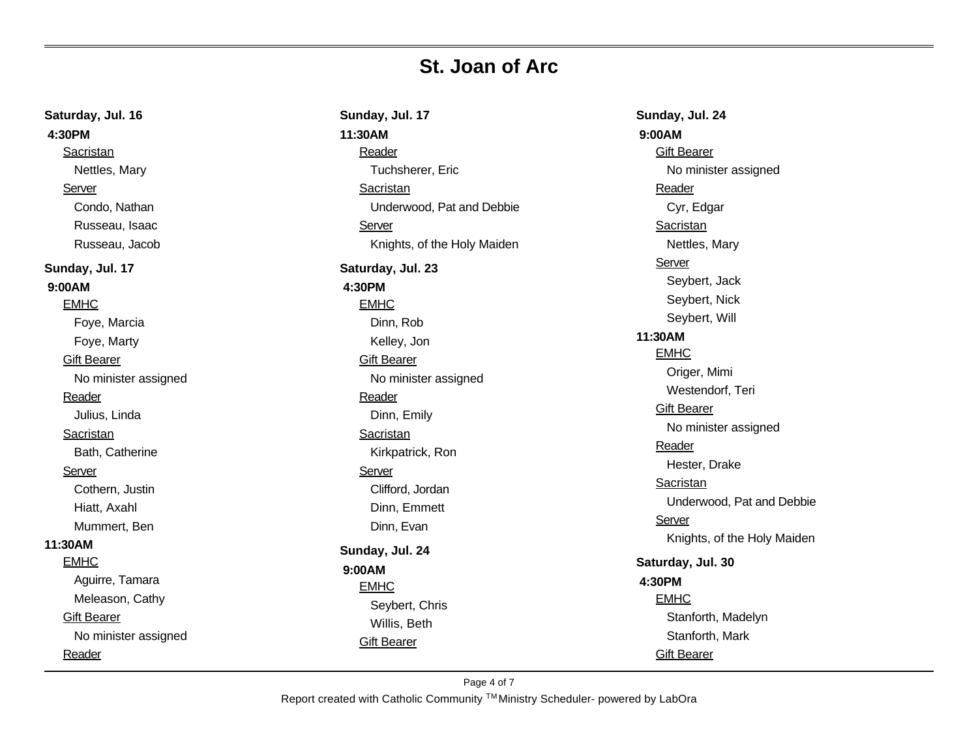| Saturday, Jul. 16    | Sunday, Jul. 17             | Sunday, Jul. 24             |
|----------------------|-----------------------------|-----------------------------|
| 4:30PM               | 11:30AM                     | 9:00AM                      |
| Sacristan            | Reader                      | <b>Gift Bearer</b>          |
| Nettles, Mary        | Tuchsherer, Eric            | No minister assigned        |
| Server               | Sacristan                   | Reader                      |
| Condo, Nathan        | Underwood, Pat and Debbie   | Cyr, Edgar                  |
| Russeau, Isaac       | Server                      | Sacristan                   |
| Russeau, Jacob       | Knights, of the Holy Maiden | Nettles, Mary               |
| Sunday, Jul. 17      | Saturday, Jul. 23           | Server                      |
| 9:00AM               | 4:30PM                      | Seybert, Jack               |
| <b>EMHC</b>          | <b>EMHC</b>                 | Seybert, Nick               |
| Foye, Marcia         | Dinn, Rob                   | Seybert, Will               |
| Foye, Marty          | Kelley, Jon                 | 11:30AM                     |
| <b>Gift Bearer</b>   | <b>Gift Bearer</b>          | <b>EMHC</b>                 |
| No minister assigned | No minister assigned        | Origer, Mimi                |
| Reader               | Reader                      | Westendorf, Teri            |
| Julius, Linda        | Dinn, Emily                 | <b>Gift Bearer</b>          |
| Sacristan            | Sacristan                   | No minister assigned        |
| Bath, Catherine      | Kirkpatrick, Ron            | Reader                      |
| Server               | Server                      | Hester, Drake               |
| Cothern, Justin      | Clifford, Jordan            | Sacristan                   |
| Hiatt, Axahl         | Dinn, Emmett                | Underwood, Pat and Debbie   |
| Mummert, Ben         | Dinn, Evan                  | Server                      |
| 11:30AM              |                             | Knights, of the Holy Maiden |
| <b>EMHC</b>          | Sunday, Jul. 24             | Saturday, Jul. 30           |
| Aguirre, Tamara      | 9:00AM<br><b>EMHC</b>       | 4:30PM                      |
| Meleason, Cathy      | Seybert, Chris              | <b>EMHC</b>                 |
| <b>Gift Bearer</b>   | Willis, Beth                | Stanforth, Madelyn          |
| No minister assigned | <b>Gift Bearer</b>          | Stanforth, Mark             |
| Reader               |                             | <b>Gift Bearer</b>          |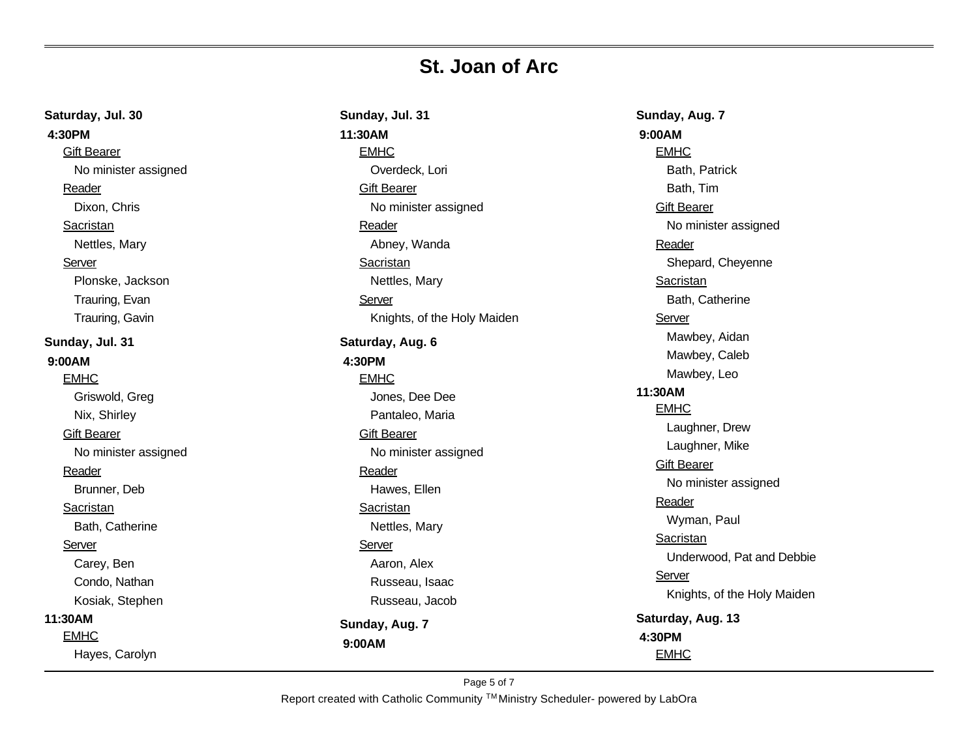| Saturday, Jul. 30    | Sunday, Jul. 31             |
|----------------------|-----------------------------|
| 4:30PM               | 11:30AM                     |
| <b>Gift Bearer</b>   | <b>EMHC</b>                 |
| No minister assigned | Overdeck, Lori              |
| Reader               | <b>Gift Bearer</b>          |
| Dixon, Chris         | No minister assigned        |
| Sacristan            | Reader                      |
| Nettles, Mary        | Abney, Wanda                |
| Server               | <b>Sacristan</b>            |
| Plonske, Jackson     | Nettles, Mary               |
| Trauring, Evan       | Server                      |
| Trauring, Gavin      | Knights, of the Holy Maiden |
| Sunday, Jul. 31      | Saturday, Aug. 6            |
| 9:00AM               | 4:30PM                      |
| <b>EMHC</b>          | <b>EMHC</b>                 |
| Griswold, Greg       | Jones, Dee Dee              |
| Nix, Shirley         | Pantaleo, Maria             |
| <b>Gift Bearer</b>   | <b>Gift Bearer</b>          |
| No minister assigned | No minister assigned        |
| Reader               | Reader                      |
| Brunner, Deb         | Hawes, Ellen                |
| Sacristan            | Sacristan                   |
| Bath, Catherine      | Nettles, Mary               |
| Server               | Server                      |
| Carey, Ben           | Aaron, Alex                 |
| Condo, Nathan        | Russeau, Isaac              |
| Kosiak, Stephen      | Russeau, Jacob              |
| 11:30AM              | Sunday, Aug. 7              |
| <b>EMHC</b>          | 9:00AM                      |
| Hayes, Carolyn       |                             |

**Sunday, Aug. 7 9:00AM EMHC** Bath, Patrick Bath, Tim **Gift Bearer** No minister assigned **Reader** Shepard, Cheyenne **Sacristan** Bath, Catherine **Server** Mawbey, Aidan Mawbey, Caleb Mawbey, Leo **11:30AM** EMHC Laughner, Drew Laughner, Mike **Gift Bearer** No minister assigned **Reader** Wyman, Paul **Sacristan** Underwood, Pat and Debbie **Server** Knights, of the Holy Maiden **Saturday, Aug. 13 4:30PM EMHC**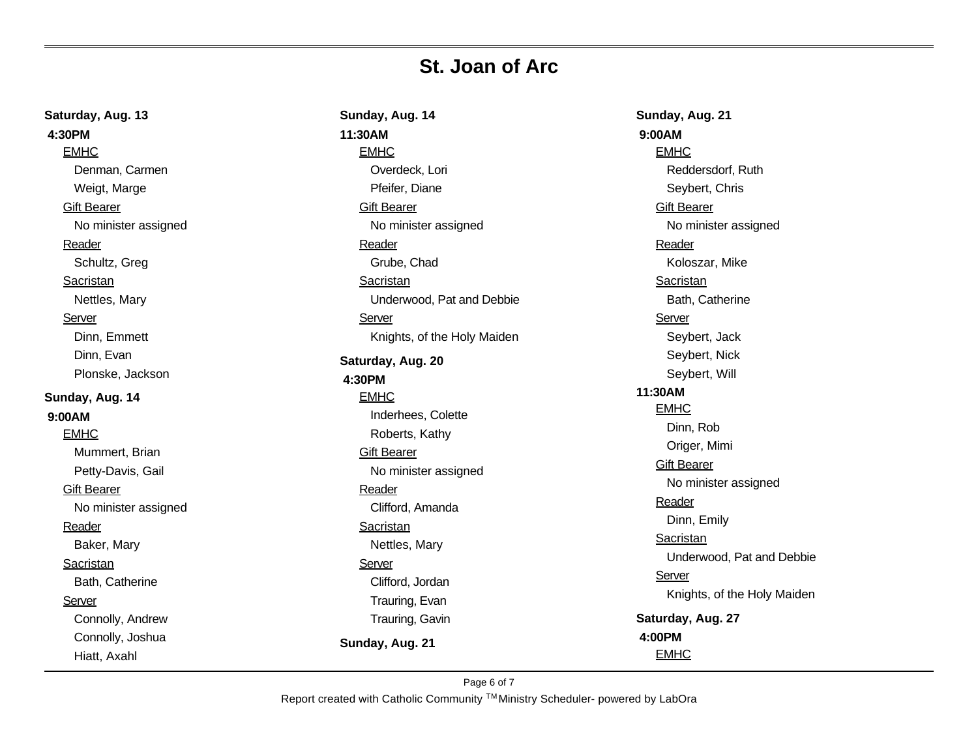| Saturday, Aug. 13    | Sunday, Aug. 14             |  |
|----------------------|-----------------------------|--|
| 4:30PM               | 11:30AM                     |  |
| <b>EMHC</b>          | <b>EMHC</b>                 |  |
| Denman, Carmen       | Overdeck, Lori              |  |
| Weigt, Marge         | Pfeifer, Diane              |  |
| <b>Gift Bearer</b>   | <b>Gift Bearer</b>          |  |
| No minister assigned | No minister assigned        |  |
| Reader               | Reader                      |  |
| Schultz, Greg        | Grube, Chad                 |  |
| Sacristan            | Sacristan                   |  |
| Nettles, Mary        | Underwood, Pat and Debbie   |  |
| Server               | Server                      |  |
| Dinn, Emmett         | Knights, of the Holy Maiden |  |
| Dinn, Evan           | Saturday, Aug. 20           |  |
| Plonske, Jackson     | 4:30PM                      |  |
| Sunday, Aug. 14      | <b>EMHC</b>                 |  |
| 9:00AM               | Inderhees, Colette          |  |
| <b>EMHC</b>          | Roberts, Kathy              |  |
| Mummert, Brian       | <b>Gift Bearer</b>          |  |
| Petty-Davis, Gail    | No minister assigned        |  |
| <b>Gift Bearer</b>   | Reader                      |  |
| No minister assigned | Clifford, Amanda            |  |
| Reader               | Sacristan                   |  |
| Baker, Mary          | Nettles, Mary               |  |
| Sacristan            | Server                      |  |
| Bath, Catherine      | Clifford, Jordan            |  |
| Server               | Trauring, Evan              |  |
| Connolly, Andrew     | Trauring, Gavin             |  |
| Connolly, Joshua     | Sunday, Aug. 21             |  |
| Hiatt, Axahl         |                             |  |

**Sunday, Aug. 21 9:00AM EMHC** Reddersdorf, Ruth Seybert, Chris **Gift Bearer** No minister assigned **Reader** Koloszar, Mike **Sacristan** Bath, Catherine **Server** Seybert, Jack Seybert, Nick Seybert, Will **11:30AM** EMHC Dinn, Rob Origer, Mimi **Gift Bearer** No minister assigned **Reader** Dinn, Emily **Sacristan** Underwood, Pat and Debbie **Server** Knights, of the Holy Maiden **Saturday, Aug. 27 4:00PM** EMHC

Report created with Catholic Community ™Ministry Scheduler- powered by LabOra Page 6 of 7